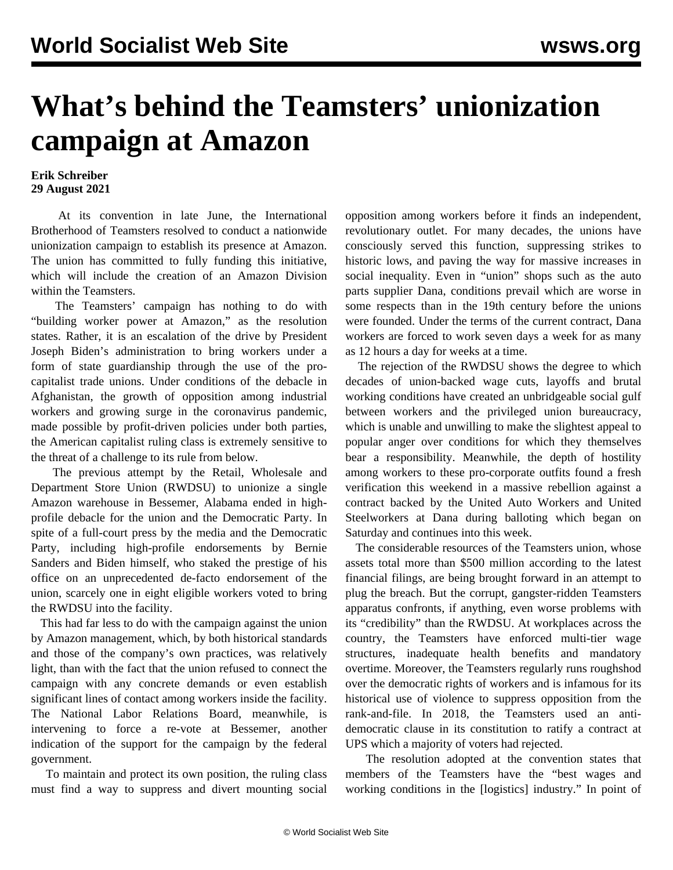## **What's behind the Teamsters' unionization campaign at Amazon**

## **Erik Schreiber 29 August 2021**

 At its convention in late June, the International Brotherhood of Teamsters resolved to conduct a nationwide unionization campaign to establish its presence at Amazon. The union has committed to fully funding this initiative, which will include the creation of an Amazon Division within the Teamsters.

 The Teamsters' campaign has nothing to do with "building worker power at Amazon," as the resolution states. Rather, it is an escalation of the drive by President Joseph Biden's administration to bring workers under a form of state guardianship through the use of the procapitalist trade unions. Under conditions of the debacle in Afghanistan, the growth of opposition among industrial workers and growing surge in the coronavirus pandemic, made possible by profit-driven policies under both parties, the American capitalist ruling class is extremely sensitive to the threat of a challenge to its rule from below.

 The previous attempt by the Retail, Wholesale and Department Store Union (RWDSU) to unionize a single Amazon warehouse in Bessemer, Alabama ended in highprofile debacle for the union and the Democratic Party. In spite of a full-court press by the media and the Democratic Party, including high-profile endorsements by Bernie Sanders and Biden himself, who staked the prestige of his office on an unprecedented de-facto endorsement of the union, scarcely one in eight eligible workers voted to bring the RWDSU into the facility.

 This had far less to do with the campaign against the union by Amazon management, which, by both historical standards and those of the company's own practices, was relatively light, than with the fact that the union refused to connect the campaign with any concrete demands or even establish significant lines of contact among workers inside the facility. The National Labor Relations Board, meanwhile, is intervening to force a re-vote at Bessemer, another indication of the support for the campaign by the federal government.

 To maintain and protect its own position, the ruling class must find a way to suppress and divert mounting social opposition among workers before it finds an independent, revolutionary outlet. For many decades, the unions have consciously served this function, suppressing strikes to historic lows, and paving the way for massive increases in social inequality. Even in "union" shops such as the auto parts supplier Dana, [conditions prevail](/en/articles/2021/08/27/dann-a27.html) which are worse in some respects than in the 19th century before the unions were founded. Under the terms of the current contract, Dana workers are forced to work seven days a week for as many as 12 hours a day for weeks at a time.

 The rejection of the RWDSU shows the degree to which decades of union-backed wage cuts, layoffs and brutal working conditions have created an unbridgeable social gulf between workers and the privileged union bureaucracy, which is unable and unwilling to make the slightest appeal to popular anger over conditions for which they themselves bear a responsibility. Meanwhile, the depth of hostility among workers to these pro-corporate outfits found a fresh verification this weekend in a massive rebellion against a contract backed by the United Auto Workers and United Steelworkers at Dana during balloting which began on Saturday and continues into this week.

 The considerable resources of the Teamsters union, whose assets total more than \$500 million according to the latest financial filings, are being brought forward in an attempt to plug the breach. But the corrupt, gangster-ridden Teamsters apparatus confronts, if anything, even worse problems with its "credibility" than the RWDSU. At workplaces across the country, the Teamsters have enforced multi-tier wage structures, inadequate health benefits and mandatory overtime. Moreover, the Teamsters regularly runs roughshod over the democratic rights of workers and is infamous for its historical use of violence to suppress opposition from the rank-and-file. In 2018, the Teamsters used an antidemocratic clause in its constitution to ratify a contract at UPS which a majority of voters had rejected.

 The resolution adopted at the convention states that members of the Teamsters have the "best wages and working conditions in the [logistics] industry." In point of